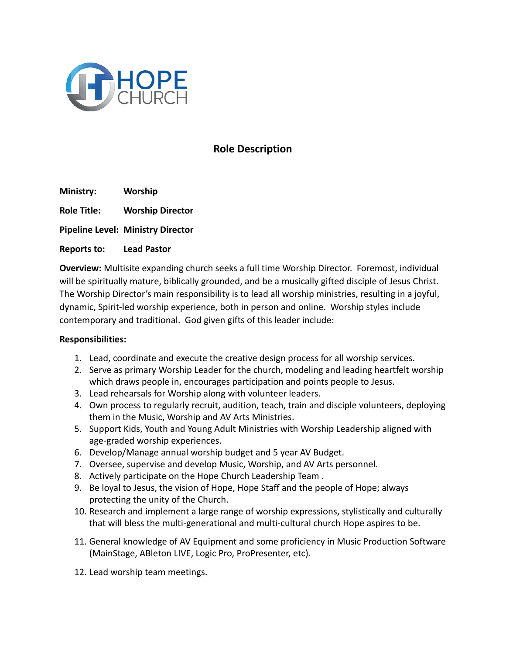

## **Role Description**

**Ministry: Worship**

**Role Title: Worship Director**

**Pipeline Level: Ministry Director**

**Reports to: Lead Pastor**

**Overview:** Multisite expanding church seeks a full time Worship Director. Foremost, individual will be spiritually mature, biblically grounded, and be a musically gifted disciple of Jesus Christ. The Worship Director's main responsibility is to lead all worship ministries, resulting in a joyful, dynamic, Spirit-led worship experience, both in person and online. Worship styles include contemporary and traditional. God given gifts of this leader include:

## **Responsibilities:**

- 1. Lead, coordinate and execute the creative design process for all worship services.
- 2. Serve as primary Worship Leader for the church, modeling and leading heartfelt worship which draws people in, encourages participation and points people to Jesus.
- 3. Lead rehearsals for Worship along with volunteer leaders.
- 4. Own process to regularly recruit, audition, teach, train and disciple volunteers, deploying them in the Music, Worship and AV Arts Ministries.
- 5. Support Kids, Youth and Young Adult Ministries with Worship Leadership aligned with age-graded worship experiences.
- 6. Develop/Manage annual worship budget and 5 year AV Budget.
- 7. Oversee, supervise and develop Music, Worship, and AV Arts personnel.
- 8. Actively participate on the Hope Church Leadership Team .
- 9. Be loyal to Jesus, the vision of Hope, Hope Staff and the people of Hope; always protecting the unity of the Church.
- 10. Research and implement a large range of worship expressions, stylistically and culturally that will bless the multi-generational and multi-cultural church Hope aspires to be.
- 11. General knowledge of AV Equipment and some proficiency in Music Production Software (MainStage, ABleton LIVE, Logic Pro, ProPresenter, etc).
- 12. Lead worship team meetings.